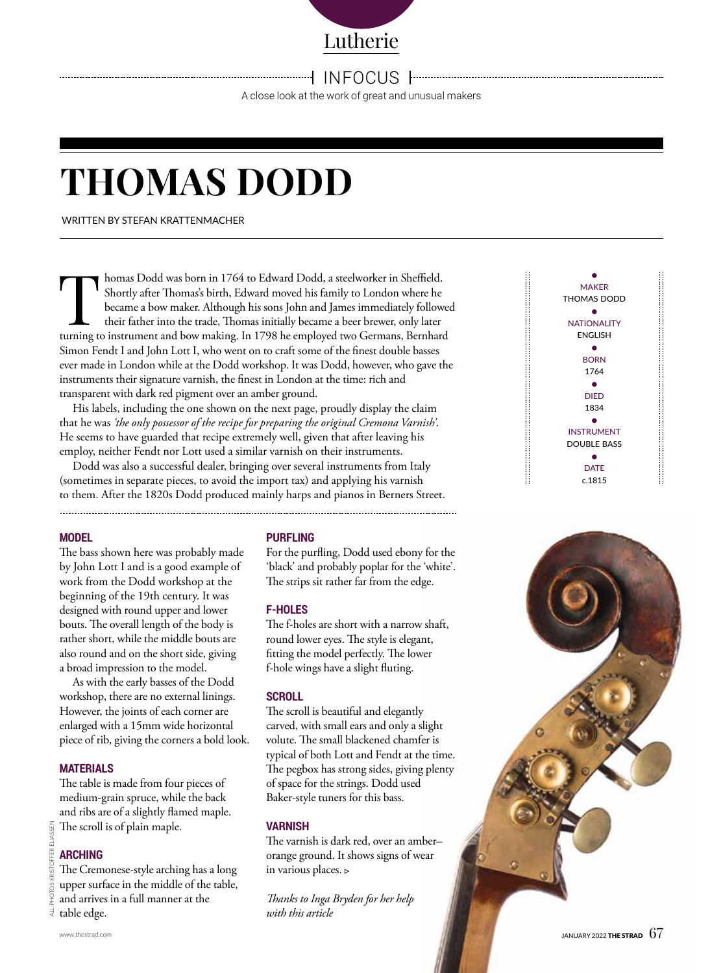Lutherie

IN FOCUS

A close look at the work of great and unusual makers

# **THOMAS DODD**

WRITTEN BY STEFAN KRATTENMACHER

In homas Dodd was born in 1764 to Edward Dodd, a steelworker in Sheffield.<br>Shortly after Thomas's birth, Edward moved his family to London where he<br>became a bow maker. Although his sons John and James immediately follow<br>th Shortly after Thomas's birth, Edward moved his family to London where he became a bow maker. Although his sons John and James immediately followed their father into the trade, Thomas initially became a beer brewer, only later turning to instrument and bow making. In 1798 he employed two Germans, Bernhard Simon Fendt I and John Lott I, who went on to craft some of the finest double basses ever made in London while at the Dodd workshop. It was Dodd, however, who gave the instruments their signature varnish, the finest in London at the time: rich and transparent with dark red pigment over an amber ground.

His labels, including the one shown on the next page, proudly display the claim that he was *'the only possessor of the recipe for preparing the original Cremona Varnish'*. He seems to have guarded that recipe extremely well, given that after leaving his employ, neither Fendt nor Lott used a similar varnish on their instruments.

Dodd was also a successful dealer, bringing over several instruments from Italy (sometimes in separate pieces, to avoid the import tax) and applying his varnish to them. After the 1820s Dodd produced mainly harps and pianos in Berners Street.

## **MODEL**

The bass shown here was probably made by John Lott I and is a good example of work from the Dodd workshop at the beginning of the 19th century. It was designed with round upper and lower bouts. The overall length of the body is rather short, while the middle bouts are also round and on the short side, giving a broad impression to the model.

As with the early basses of the Dodd workshop, there are no external linings. However, the joints of each corner are enlarged with a 15mm wide horizontal piece of rib, giving the corners a bold look.

#### **MATERIALS**

The table is made from four pieces of medium-grain spruce, while the back and ribs are of a slightly flamed maple. The scroll is of plain maple.

# **ARCHING**

ALL PHOTOS KRISTOFFER ELIASSEN

4LL

The Cremonese-style arching has a long upper surface in the middle of the table, and arrives in a full manner at the table edge.

#### **PURFLING**

For the purfling, Dodd used ebony for the 'black' and probably poplar for the 'white'. The strips sit rather far from the edge.

## **F-HOLES**

The f-holes are short with a narrow shaft, round lower eyes. The style is elegant, fitting the model perfectly. The lower f-hole wings have a slight fluting.

#### **SCROLL**

The scroll is beautiful and elegantly carved, with small ears and only a slight volute. The small blackened chamfer is typical of both Lott and Fendt at the time. The pegbox has strong sides, giving plenty of space for the strings. Dodd used Baker-style tuners for this bass.

## **VARNISH**

The varnish is dark red, over an amber– orange ground. It shows signs of wear in various places.

*Thanks to Inga Bryden for her help with this article*

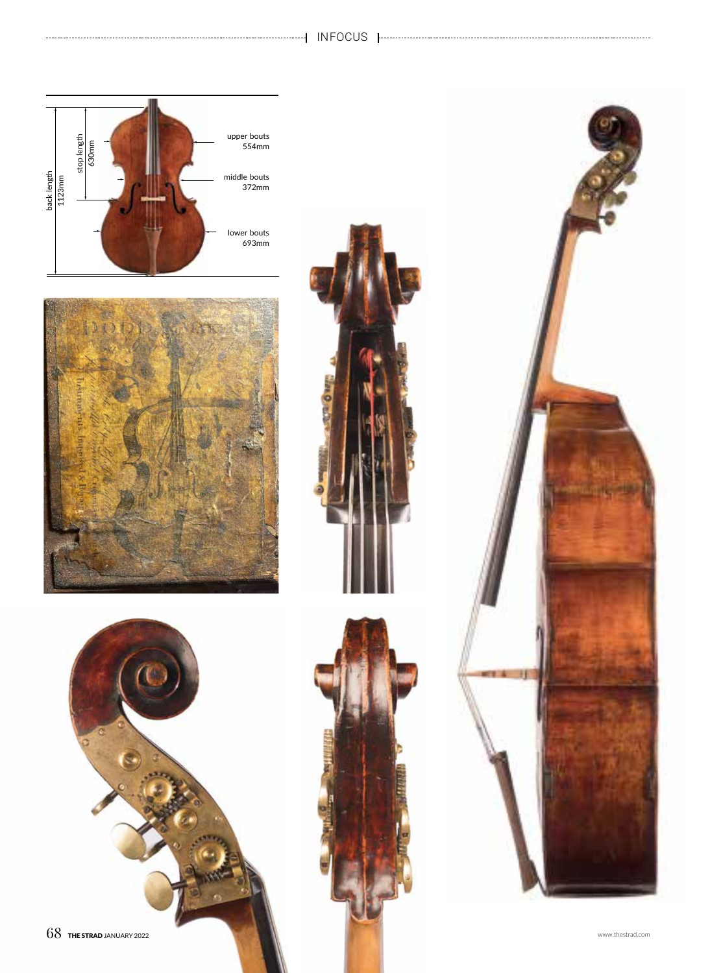# IN FOCUS



----------